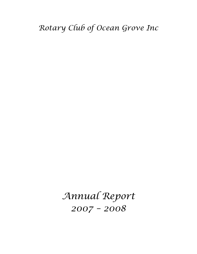*Annual Report 2007 – 2008*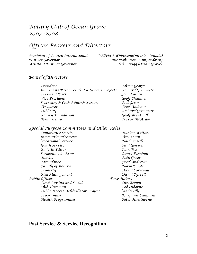# *Rotary Club of Ocean Grove 2007 -2008*

# *Officer Bearers and Directors*

*President of Rotary International Wilfrid J Wilkinson(Ontario, Canada) District Governor Ric Robertson (Camperdown) Assistant District Governor Helen Trigg (Ocean Grove)*

### *Board of Directors*

| President                                   | Alison Geo |
|---------------------------------------------|------------|
| Immediate Past President & Service projects | Richard G  |
| President Elect                             | John Caln  |
| Vice President                              | Geoff Char |
| Secretary & Club Administration             | Rod Greer  |
| Treasurer                                   | Fred And   |
| Publicity                                   | Richard G  |
| Rotary Foundation                           | Geoff Brer |
| Membership                                  | Trevor Mo  |
|                                             |            |

*President Alison George Immediate Past President & Service projects Richard Grimmett President Elect John Calnin Vice President Geoff Chandler Treasurer Fred Andrews Publicity Richard Grimmett Rotary Foundation Geoff Brentnall Membership Trevor McArdle*

#### *Special Purpose Committees and Other Roles*

*Community Service Marion Walton International Service Tim Kemp Vocational Service Noel Emselle Youth Service Paul Gleeson Bulletin Editor John Fox Sergeant –at –Arms James Turnbull Market Judy Greer Attendance Fred Andrews Family of Rotary Norm Elliott Property David Cornwall Risk Management David Tyrrell Public Officer Tony Haines Fund Raising and Social Clin Brown Club Historian Bob Osborne Public Access Defibrillator Project Wal Kelly Programme Margaret Campbell*  $Health$  *Programmes* 

#### **Past Service & Service Recognition**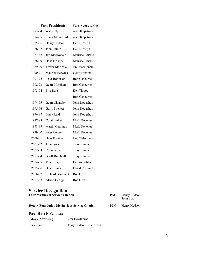|         | <b>Past Presidents</b>  | <b>Past Secretaries</b> |
|---------|-------------------------|-------------------------|
| 1983-84 | Wal Kelly               | Alan Kilpatrick         |
| 1984-85 | <b>Frank Mountford</b>  | Alan Kilpatrick         |
| 1985-86 | Henry Hudson            | Denis Joseph            |
| 1986-87 | John Calnin             | Denis Joseph            |
| 1987-88 | Jim MacDonald           | Maurice Barwick         |
| 1988-89 | Hans Franken            | Maurice Barwick         |
| 1989-90 | <b>Trevor McArdle</b>   | Jim MacDonald           |
| 1990-91 | Maurice Barwick         | <b>Geoff Brentnall</b>  |
| 1991-92 | Peter Robinson          | <b>Bob Osbourne</b>     |
| 1992-93 | Geoff Morphett          | <b>Bob Osbourne</b>     |
| 1993-94 | Eric Bare               | Ken Thibou              |
|         |                         | <b>Bob Osbourne</b>     |
| 1994-95 | <b>Geoff Chandler</b>   | John Dodgshun           |
| 1995-96 | Gerry Spencer           | John Dodgshun           |
| 1996-97 | <b>Barry Reid</b>       | John Dodgshun           |
| 1997-98 | Coral Barker            | Mark Donehue            |
| 1998-99 | <b>Martin Geerings</b>  | Mark Donehue            |
| 1999-00 | Peter Cullen            | Mark Donehue            |
| 2000-01 | Hans Franken            | Geoff Morphett          |
| 2001-02 | John Powell             | <b>Tony Haines</b>      |
| 2002-03 | Colin Brown             | <b>Tony Haines</b>      |
| 2003-04 | Geoff Brentnall         | <b>Tony Haines</b>      |
| 2004-05 | Tim Kemp                | Dennis Saliba           |
| 2005-06 | Helen Trigg             | David Cornwell          |
| 2006-07 | <b>Richard Grimmett</b> | Rod Greer               |
| 2007-08 | Alison George           | Rod Greer               |

# **Service Recognition**

| <b>Four Avenues of Service Citation</b>               | PDG. | Henry Hudson<br>John Fox |  |
|-------------------------------------------------------|------|--------------------------|--|
| <b>Rotary Foundation Meritorious Service Citation</b> |      | PDG Henry Hudson         |  |
| Daul Harris Fallaws:                                  |      |                          |  |

#### **Paul Harris Fellows:**

| Moyia Armstrong | Peter Hawthorne          |
|-----------------|--------------------------|
| Eric Bare       | Henry Hudson – Sapp. Pin |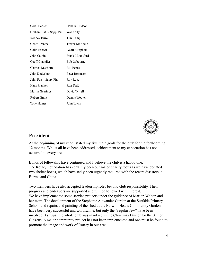| Coral Barker            | Isabella Hudson     |
|-------------------------|---------------------|
| Graham Bath - Sapp. Pin | Wal Kelly           |
| Rodney Birrell          | Tim Kemp            |
| <b>Geoff Brentnall</b>  | Trevor McAedle      |
| Colin Brown             | Geoff Morphett      |
| John Calnin             | Frank Mountford     |
| Geoff Chandler          | <b>Bob Osbourne</b> |
| Charles Dawborn         | <b>Bill Penna</b>   |
| John Dodgshun           | Peter Robinson      |
| John Fox - Sapp. Pin    | Roy Rose            |
| Hans Franken            | Ron Todd            |
| Martin Geerings         | David Tyrrell       |
| <b>Robert Grant</b>     | Dennis Wooten       |
| Tony Haines             | John Wynn           |
|                         |                     |



### **President**

At the beginning of my year I stated my five main goals for the club for the forthcoming 12 months. Whilst all have been addressed, achievement to my expectation has not occurred in every area.

Bonds of fellowship have continued and I believe the club is a happy one. The Rotary Foundation has certainly been our major charity focus as we have donated two shelter boxes, which have sadly been urgently required with the recent disasters in Burma and China.

Two members have also accepted leadership roles beyond club responsibility. Their progress and endeavors are supported and will be followed with interest. We have implemented some service projects under the guidance of Marion Walton and her team. The development of the Stephanie Alexander Garden at the Surfside Primary School and repairs and painting of the shed at the Barwon Heads Community Garden have been very successful and worthwhile, but only the "regular few" have been involved. As usual the whole club was involved in the Christmas Dinner for the Senior Citizens. A major community project has not been implemented and one must be found to promote the image and work of Rotary in our area.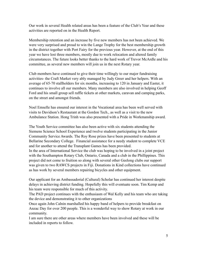Our work in several Health related areas has been a feature of the Club's Year and these activities are reported on in the Health Report.

Membership retention and an increase by five new members has not been achieved. We were very surprised and proud to win the Lange Trophy for the best membership growth in the district together with Port Fairy for the previous year. However, at the end of this year we have lost three members, mostly due to work relocation and altered family circumstances. The future looks better thanks to the hard work of Trevor McArdle and his committee, as several new members will join us in the next Rotary year.

Club members have continued to give their time willingly to our major fundraising activities- the Craft Market very ably managed by Judy Greer and her helpers. With an average of 65-70 stallholders for six months, increasing to 120 in January and Easter, it continues to involve all our members. Many members are also involved in helping Geoff Ford and his small group sell raffle tickets at other markets, caravan and camping parks, on the street and amongst friends.

Noel Emselle has ensured our interest in the Vocational area has been well served with visits to Davidson's Restaurant at the Gordon Tech., as well as a visit to the new Ambulance Station. Hong Trinh was also presented with a Pride in Workmanship award.

The Youth Service committee has also been active with six students attending the Siemens Science School Experience and twelve students participating in the Junior Community Service Awards. The Roy Rose prizes have been presented to students at Bellarine Secondary College. Financial assistance for a needy student to complete VCE and for another to attend the Transplant Games has been provided. In the area of International Service the club was hoping to be involved in a joint project with the Southampton Rotary Club, Ontario, Canada and a club in the Phillippines. This project did not come to fruition so along with several other Geelong clubs our support was given to two RAWCS projects in Fiji. Donations in Kind collections have continued as has work by several members repairing bicycles and other equipment.

Our applicant for an Ambassadorial (Cultural) Scholar has continued her interest despite delays in achieving district funding. Hopefully this will eventuate soon. Tim Kemp and his team were responsible for much of this activity.

The PAD project continues with the enthusiasm of Wal Kelly and his team who are taking the device and demonstrating it to other organizations

Once again John Calnin marshalled his happy band of helpers to provide breakfast on Anzac Day for over 200 people. This is a wonderful way to show Rotary at work in our community.

I am sure there are other areas where members have been involved and these will be included in reports to follow.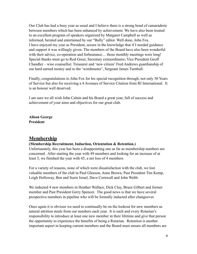Our Club has had a busy year as usual and I believe there is a strong bond of camaraderie between members which has been enhanced by achievement. We have also been treated to an excellent program of speakers organized by Margaret Campbell as well as informed, berated and entertained by our "Bully" editor. Well done, John Fox. I have enjoyed my year as President, secure in the knowledge that if I needed guidance and support it was willingly given. The members of the Board have also been wonderful with their advice, co-operation and forbearance... those monthly meetings were long! Special thanks must go to Rod Greer, Secretary extraordinaire; Vice President Geoff Chandler – wise counsellor; Treasurer and 'new citizen' Fred Andrews guardianship of our hard earned money and to the 'wordmaster', Sergeant James Turnbull.

Finally, congratulations to John Fox for his special recognition through, not only 50 Years of Service but also for receiving a 4 Avenues of Service Citation from RI International. It is an honour well deserved.

I am sure we all wish John Calnin and his Board a great year, full of success and achievement of your aims and objectives for our great club.

**Alison George President**

### **Membership**

#### **(Membership Recruitment, Induction, Orientation & Retention.)**

Unfortunately, this year has been a disappointing one as far as membership numbers are concerned. After starting the year with 49 members and looking for an increase of at least 5, we finished the year with 45, a net loss of 4 members.

For a variety of reasons, none of which were dissatisfaction with the club, we lost valuable members of the club in Paul Gleeson, Anne Brown, Past President Tim Kemp, Leigh Holloway, Ben and Suzie Israel, Dave Cornwall and John Webb.

We inducted 4 new members in Heather Wallace, Dick Clay, Bruce Gilbert and former member and Past President Gerry Spencer. The good news is that we have several prospective members in pipeline who will be formally inducted after changeover.

Once again it is obvious we need to continually be on the lookout for new members as natural attrition steals from our numbers each year. It is each and every Rotarian's responsibility to introduce at least one new member in their lifetime and give that person the opportunity to experience the benefits of being a Rotarian. Retention is another important aspect in keeping current members and the Board must ensure all members are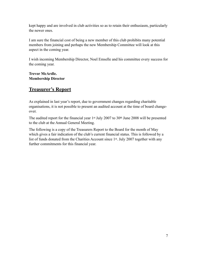kept happy and are involved in club activities so as to retain their enthusiasm, particularly the newer ones.

I am sure the financial cost of being a new member of this club prohibits many potential members from joining and perhaps the new Membership Committee will look at this aspect in the coming year.

I wish incoming Membership Director, Noel Emselle and his committee every success for the coming year.

**Trevor McArdle. Membership Director**

# **Treasurer's Report**

As explained in last year's report, due to government changes regarding charitable organisations, it is not possible to present an audited account at the time of board changeover.

The audited report for the financial year 1<sup>st</sup> July 2007 to 30<sup>th</sup> June 2008 will be presented to the club at the Annual General Meeting.

The following is a copy of the Treasurers Report to the Board for the month of May which gives a fair indication of the club's current financial status. This is followed by a list of funds donated from the Charities Account since 1st. July 2007 together with any further commitments for this financial year.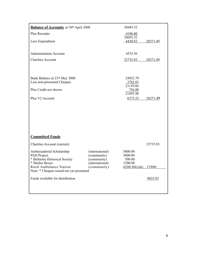| <b>Balance of Accounts</b> at 30th April 2008                              |                            | 30495.52            |          |
|----------------------------------------------------------------------------|----------------------------|---------------------|----------|
| Plus Receipts                                                              |                            | 4196.80             |          |
| Less Expenditure                                                           |                            | 34692.32<br>6420.83 | 28271.49 |
|                                                                            |                            |                     |          |
| <b>Administration Account</b>                                              |                            | 4535.56             |          |
| <b>Charities Account</b>                                                   |                            | 23735.93            | 28271.49 |
|                                                                            |                            |                     |          |
|                                                                            |                            |                     |          |
| Bank Balance at 23rd May 2008<br>Less non-presented Cheques                |                            | 24922.79<br>3782.83 |          |
| Plus Credit not shown                                                      |                            | 21139.96<br>756.00  |          |
|                                                                            |                            | 21895.96            |          |
| Plus V2 Account                                                            |                            | 6375.53             | 28271.49 |
|                                                                            |                            |                     |          |
|                                                                            |                            |                     |          |
|                                                                            |                            |                     |          |
|                                                                            |                            |                     |          |
|                                                                            |                            |                     |          |
| <b>Committed Funds</b>                                                     |                            |                     |          |
| <b>Charities Account (current)</b>                                         |                            |                     | 23735.93 |
| Ambassadorial Scholarship                                                  | (international)            | 5000.00             |          |
| PAD Project<br>* Bellarine Historical Society                              | (community)<br>(community) | 3000.00<br>500.00   |          |
| * Shelter Boxes                                                            | (international)            | 1200.00             |          |
| <b>Rural Ambulance Station</b><br>Note: * Cheques issued not yet presented | (community)                | 4200.00(ish) 13900  |          |
| Funds available for distribution.                                          |                            |                     |          |
|                                                                            |                            |                     | 9835.93  |
|                                                                            |                            |                     |          |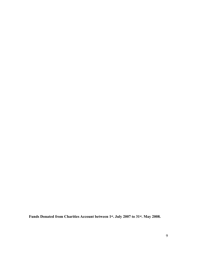**Funds Donated from Charities Account between 1st. July 2007 to 31st. May 2008.**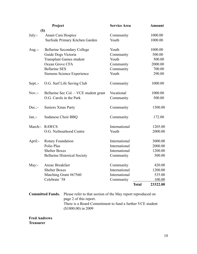|           | Project                                | <b>Service Area</b> |              | <b>Amount</b> |
|-----------|----------------------------------------|---------------------|--------------|---------------|
|           | $(\$)$                                 |                     |              |               |
| $July: -$ | Anam Cara Hospice                      | Community           |              | 1000.00       |
|           | Surfside Primary Kitchen Garden        | Youth               |              | 1000.00       |
| Aug.: $-$ | <b>Bellarine Secondary College</b>     | Youth               |              | 1000.00       |
|           | Guide Dogs Victoria                    | Community           |              | 500.00        |
|           | <b>Transplant Games student</b>        | Youth               |              | 500.00        |
|           | Ocean Grove CFA                        | Community           |              | 2000.00       |
|           | <b>Bellarine SES</b>                   | Community           |              | 700.00        |
|           | Siemens Science Experience             | Youth               |              | 290.00        |
| $Sept.:-$ | O.G. Surf Life Saving Club             | Community           |              | 1000.00       |
| $Nov. -$  | Bellarine Sec Col. – VCE student grant | Vocational          |              | 1000.00       |
|           | O.G. Carols in the Park                | Community           |              | 500.00        |
| $Dec.$ :- | Seniors Xmas Party                     | Community           |              | 1500.00       |
| $Jan. -$  | Sudanese Choir BBQ                     | Community           |              | 172.00        |
|           | March:- RAWCS                          | International       |              | 1205.00       |
|           | O.G. Neibourhood Centre                | Youth               |              | 2000.00       |
| April:-   | Rotary Foundation                      | International       |              | 3000.00       |
|           | Polio Plus                             | International       |              | 2000.00       |
|           | <b>Shelter Boxes</b>                   | International       |              | 1200.00       |
|           | <b>Bellarine Historical Society</b>    | Community           |              | 500.00        |
| May:-     | Anzac Breakfast                        | Community           |              | 420.00        |
|           | <b>Shelter Boxes</b>                   | International       |              | 1200.00       |
|           | Matching Grant #67560                  | International       |              | 535.00        |
|           | Celebrate '58                          | Community           |              | <u>100.00</u> |
|           |                                        |                     | <b>Total</b> | 23322.00      |
|           |                                        |                     |              |               |

**Committed Funds.** Please refer to that section of the May report reproduced on page 2 of this report. There is a Board Commitment to fund a further VCE student (\$1000.00) in 2009

**Fred Andrews Treasurer**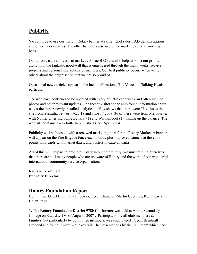# **Publicity**

We continue to use our upright Rotary banner at raffle ticket sales, PAD demonstrations and other indoor events. The other banner is also useful for market days and working **bees** 

Our aprons, caps and vests at markets, Anzac BBQ etc. also help to boost our profile, along with the fantastic good-will that is engendered through the many works, service projects and personal interactions of members. Our best publicity occurs when we tell others about the organisation that we are so proud of.

Occasional news articles appear in the local publications, The Voice and Talking Heads in particular.

The web page continues to be updated with every bulletin each week and often includes photos and other relevant updates. One recent visitor to the club found information about us via the site. A newly installed analytics facility shows that there were 51 visits to the site from Australia between May 18 and June 17 2008. 36 of these were from Melbourne, with 6 other cities including Ballarat (1) and Warnambool (1) making up the balance. The web site contains every bulletin published since April 2004.

Publicity will be boosted with a renewed marketing plan for the Rotary Market. A banner will appear on the Fire Brigade fence each month, plus improved banners at the entry points, info cards with market dates, and posters in caravan parks.

All of this will help us to promote Rotary in our community. We must remind ourselves that there are still many people who are unaware of Rotary and the work of our wonderful international community service organisation.

**Richard Grimmett Publicity Director**

### **Rotary Foundation Report**

Committee: Geoff Brentnall (Director), Geoff Chandler, Martin Geerings, Ken Fleay and Helen Trigg

**1. The Rotary Foundation District 9780 Conference** was held at Ararat Secondary College on Saturday 18<sup>th</sup> of August, 2007. Participation by all club members  $\&$ families, but particularly by committee members, was encouraged . Geoff Brentnall attended and found it worthwhile overall. The presentations by the GSE team which had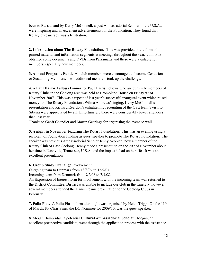been to Russia, and by Kerry McConnell, a past Ambassadorial Scholar in the U.S.A., were inspiring and an excellent advertisements for the Foundation. They found that Rotary bureaucracy was a frustration.

**2. Information about The Rotary Foundation.** This was provided in the form of printed material and information segments at meetings throughout the year. John Fox obtained some documents and DVDs from Parramatta and these were available for members, especially new members.

**3. Annual Programs Fund.** All club members were encouraged to become Centurions or Sustaining Members. Two additional members took up the challenge.

**4. A Paul Harris Fellows Dinner** for Paul Harris Fellows who are currently members of Rotary Clubs in the Geelong area was held at Dromoland House on Friday 9th of November 2007. This was a repeat of last year's successful inaugural event which raised money for The Rotary Foundation . Wilma Andrews' singing, Kerry McConnell's presentation and Richard Reardon's enlightening recounting of the GSE team's visit to Siberia were appreciated by all. Unfortunately there were considerably fewer attendees than last year.

Thanks to Geoff Chandler and Martin Geerings for organising the event so well.

**5. A night in November** featuring The Rotary Foundation. This was an evening using a recipient of Foundation funding as guest speaker to promote The Rotary Foundation. The speaker was previous Ambassadorial Scholar Jenny Acopian, now a member of the Rotary Club of East Geelong. Jenny made a presentation on the 20<sup>th</sup> of November about her time in Nashville, Tennessee, U.S.A. and the impact it had on her life . It was an excellent presentation.

**6. Group Study Exchange** involvement.

Outgoing team to Denmark from 18/8/07 to 15/9/07.

Incoming team from Denmark from 9/2/08 to 7/3/08.

An Expression of Interest form for involvement with the incoming team was returned to the District Committee. District was unable to include our club in the itinerary, however, several members attended the Danish teams presentation to the Geelong Clubs in February.

**7. Polio Plus.** A Polio Plus information night was organised by Helen Trigg. On the 11<sup>th</sup> of March, PP Chris Sims, the DG Nominee for 2009/10, was the guest speaker.

8. Megan Bainbridge, a potential **Cultural Ambassadorial Scholar** . Megan, an excellent prospective candidate, went through the application process with the assistance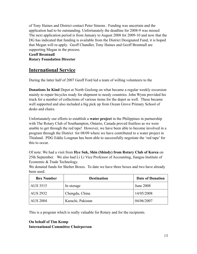of Tony Haines and District contact Peter Simons . Funding was uncertain and the application had to be outstanding. Unfortunately the deadline for 2008-9 was missed The next application period is from January to August 2008 for 2009-10 and now that the DG has indicated that funding is available from the District Designated Fund, it is hoped that Megan will re-apply. Geoff Chandler, Tony Haines and Geoff Brentnall are supporting Megan in the process.

#### **Geoff Brentnall Rotary Foundation Director**

## **International Service**

During the latter half of 2007 Geoff Ford led a team of willing volunteers to the

**Donations In Kind** Depot at North Geelong on what became a regular weekly excursion mainly to repair bicycles ready for shipment to needy countries. John Wynn provided his truck for a number of collections of various items for the depot as well. These became well supported and also included a big pick up from Ocean Grove Primary School of desks and chairs.

Unfortunately our efforts to establish a **water project** in the Philippines in partnership with The Rotary Club of Southampton, Ontario, Canada proved fruitless as we were unable to get through the red tape! However, we have been able to become involved in a program through the District for 08/09 where we have contributed to a water project in Thialand. PDG Eddie Lougnan has been able to successfully negotiate the 'red tape' for this to occur.

Of note: We had a visit from **Hye Suk, Shin (Shindy) from Rotary Club of Korea** on 25th September. We also had Li Li Vice Professor of Accounting, Jiangsu Institute of Economic & Trade Technology.

We donated funds for Shelter Boxes. To date we have three boxes and two have already been used.

| <b>Box Number</b> | <b>Destination</b> | <b>Date of Donation</b> |
|-------------------|--------------------|-------------------------|
| AUS 3515          | In storage         | <b>June 2008</b>        |
| AUS 2932          | Chengdu, China     | 14/05/2008              |
| <b>AUS 2004</b>   | Karachi, Pakistan  | 04/06/2007              |

This is a program which is really valuable for Rotary and for the recipients.

### **On behalf of Tim Kemp International Committee Chairperson**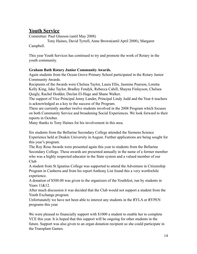# **Youth Service**

Committee: Paul Gleeson (until May 2008)

 Tony Haines, David Tyrrell, Anne Brown(until April 2008), Margaret Campbell.

This year Youth Services has continued to try and promote the work of Rotary in the youth community.

#### **Graham Bath Rotary Junior Community Awards.**

Again students from the Ocean Grove Primary School participated in the Rotary Junior Community Awards.

Recipients of the Awards were Chelsea Taylor, Laura Ellis, Jasmine Pearson, Loretta Kelly King, Jake Taylor, Bradley Fendyk, Rebecca Cahill, Shayna Finlayson, Chelsea Quigly, Rachel Hodder, Declan El-Hage and Shane Walker.

The support of Vice Principal Jenny Lander, Principal Lindy Judd and the Year 6 teachers is acknowledged as a key to the success of the Program.

There are currently another twelve students involved in the 2008 Program which focuses on both Community Service and broadening Social Experiences. We look forward to their reports in October.

Many thanks to Tony Haines for his involvement in this area.

Six students from the Bellarine Secondary College attended the Siemens Science Experience held at Deakin University in August. Further applications are being sought for this year's program.

The Roy Rose Awards were presented again this year to students from the Bellarine Secondary College. These awards are presented annually in the name of a former member who was a highly respected educator in the State system and a valued member of our Club

A student from St Ignatius College was supported to attend the Adventure in Citizenship Program in Canberra and from his report Anthony List found this a very worthwhile experience.

A donation of \$500.00 was given to the organizers of the Youthfest, run by students in Years 11&12.

After much discussion it was decided that the Club would not support a student from the Youth Exchange program.

Unfortunately we have not been able to interest any students in the RYLA or RYPEN programs this year.

We were pleased to financially support with \$1000 a student to enable her to complete VCE this year. It is hoped that this support will be ongoing for other students in the future. Support was also given to an organ donation recipient so she could participate in the Transplant Games.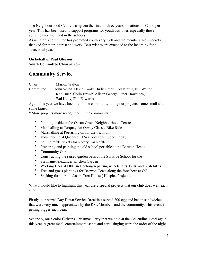The Neighbourhood Centre was given the final of three years donations of \$2000 per year. This has been used to support programs for youth activities especially those activities not included in the schools.

As usual this committee has promoted youth very well and the members are sincerely thanked for their interest and work. Best wishes are extended to the incoming for a successful year.

#### **On behalf of Paul Gleeson Youth Committee Chairperson**

## **Community Service**

Chair Marion Walton Committee John Wynn, David Cooke, Judy Greer, Rod Birrell, Bill Walton Rod Bush, Colin Brown, Alison George, Peter Hawthorn, Wal Kelly, Phil Edwards

Again this year we have been out in the community doing our projects, some small and some larger.

" More projects more recognition in the community "

- Painting inside at the Ocean Grove Neighbourhood Centre
- Marshalling at Torquay for Otway Classic Bike Ride
- Marshalling at Portarlington for the triathlon
- Volunteering at Queenscliff Seafood Feast Good Friday
- Selling raffle tickets for Rotary Car Raffle
- Preparing and painting the old school portable at the Barwon Heads
- Community Garden
- Constructing the raised garden beds at the Surfside School for the
- Stephanie Alexander Kitchen Garden
- Working Bees at DIK in Geelong repairing wheelchairs, beds, and push bikes
- Tree and grass plantings for Barwon Coast along the foreshore at OG
- Shifting furniture to Anam Cara House ( Hospice Project )

What I would like to highlight this year are 2 special projects that our club does well each year.

Firstly, our Anzac Day Dawn Service Breakfast served 200 egg and bacon sandwiches that were very much appreciated by the RSL Members and the community. This event is getting bigger each year.

Secondly, our Senior Citizens Christmas Party that we held at the Collendina Hotel again this year. A great meal, entertainment, santa and carol singing were the order of the night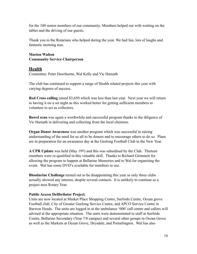for the 100 senior members of our community. Members helped out with waiting on the tables and the driving of our guests.

Thank you to the Rotarians who helped during the year. We had fun, lots of laughs and fantastic morning teas.

#### **Marion Walton Community Service Chairperson**

### **Health**

Committee: Peter Hawthorne, Wal Kelly and Vic Harnath

The club has continued to support a range of Health related projects this year with varying degrees of success.

**Red Cross calling** raised \$3,650 which was less than last year. Next year we will return to having it on a set night as this worked better for getting sufficient members to volunteer to act as collectors.

**Bowel scan** was again a worthwhile and successful program thanks to the diligence of Vic Harnath in delivering and collecting from the local chemists.

**Organ Donor Awareness** was another program which was successful in raising understanding of the need for us all to be donors and to encourage others to do so. Plans are in preparation for an awareness day at the Geelong Football Club in the New Year.

**A CPR Update** was held (May 19th) and this was subsidised by the Club. Thirteen members were re-qualified in this valuable skill. Thanks to Richard Grimmett for allowing the program to happen at Bellarine Memories and to Wal for organising the event. Wal has some DVD's available for members to use.

**Bloodarine Challenge** turned out to be disappointing this year as only three clubs actually showed any interest, despite several contacts. It is unlikely to continue as a project next Rotary Year.

#### **Public Access Defibrilator Project.**

Units are now located at Market Place Shopping Centre, Surfside Centre, Ocean grove Football club, City of Greater Geelong Service Centre, and APCO Service Centre in Barwon Heads. The units are logged in at the ambulance '000' call centre and callers will advised at the appropriate situation. The units were demonstrated to staff at Surfside Centre, Bellarine Secondary (Year 7/8 campus) and several other groups in Ocean Grove as well as the Markets at Ocean Grove, Drysdale, and Portarlington. Wal has also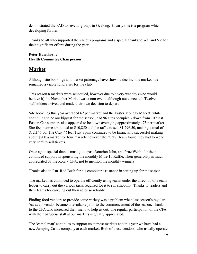demonstrated the PAD to several groups in Geelong. Clearly this is a program which developing further.

Thanks to all who supported the various programs and a special thanks to Wal and Vic for their significant efforts during the year.

#### **Peter Hawthorne Health Committee Chairperson**

## **Market**

Although site bookings and market patronage have shown a decline, the market has remained a viable fundraiser for the club.

This season 8 markets were scheduled, however due to a very wet day (who would believe it) the November Market was a non-event, although not cancelled. Twelve stallholders arrived and made their own decision to depart!

Site bookings this year averaged 62 per market and the Easter Monday Market, while continuing to be our biggest for the season, had 96 sites occupied - down from 109 last Easter. Car numbers also appeared to be down averaging approximately 475 per market. Site fee income amounted to S10,850 and the raffle raised S1,296.50, making a total of \$12,146.50. The Cray / Meat Tray Spins continued to be financially successful making about \$200 a market for four markets however the 'Cray' Team found they had to work very hard to sell tickets.

Once again special thanks must go to past Rotarian John, and Prue Webb, for their continued support in sponsoring the monthly Mitre 10 Raffle. Their generosity is much appreciated by the Rotary Club, not to mention the monthly winners!

Thanks also to Rtn. Rod Bush for his computer assistance in setting up for the season.

The market has continued to operate efficiently using teams under the direction of a team leader to carry out the various tasks required for it to run smoothly. Thanks to leaders and their teams for carrying out their roles so reliably.

Finding food vendors to provide some variety was a problem when last season's regular 'caravan' vendor became unavailable prior to the commencement of the season. Thanks to the CFA who increased their menu to help us out. The regular participation of the CFA with their barbecue stall at our markets is greatly appreciated.

The 'camel man' continues to support us at most markets and this year we have had a new Jumping Castle company at each market. Both of these vendors, who usually operate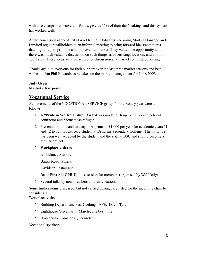with hire charges but waive this for us, give us 15% of their day's takings and this system has worked well.

At the conclusion of the April Market Rtn Phil Edwards, incoming Market Manager, and I invited regular stallholders to an informal meeting to bring forward ideas/comments that might help to promote and improve our market. They valued the opportunity and there was much valuable discussion on such things as advertising, location, and a food court area. These ideas were presented for discussion at a market committee meeting.

Thanks again to everyone for their support over the last three market seasons and best wishes to Rtn Phil Edwards as he takes on the market management for 2008/2009.

### **Judy Greer Market Chairpeson**

## **Vocational Service**

Achievements of the VOCATIONAL SERVICE group for the Rotary year were as follows;

- 1. A "**Pride in Workmanship" Award** was made to Hong Trinh, local electrical contractor and Vietnamese refugee.
- 2. Presentation of a **student support grant** of \$1,000 per year for academic years 11 and 12 to Tahlia Justice, a student at Bellarine Secondary College. The initiative has been well accepted by the student and the staff at BSC and should become a regular project.
- 3. **Workplace visits** to

Ambulance Station,

Banks Road Winery,

Davidson Restaurant.

- 4. Basic First Aid **CPR Update** session for members (organised by Wal Kelly)
- 5. Several talks by new members on their vocation.

Some further items discussed, but not carried through are listed for the incoming chair to consider are:

Workplace visits:

- Building Department, East Geelong TAFE. David Tyrell
- Lighthouse Olive Farm (March-June best time)
- Hydroponic Tomatoes Queenscliff

Vocational speakers: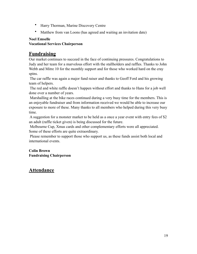- Harry Thorman, Marine Discovery Centre
- Matthew from van Loons (has agreed and waiting an invitation date)

#### **Noel Emselle**

### **Vocational Services Chairperson**

### **Fundraising**

Our market continues to succeed in the face of continuing pressures. Congratulations to Judy and her team for a marvelous effort with the stallholders and raffles. Thanks to John Webb and Mitre 10 for the monthly support and for those who worked hard on the cray spins.

 The car raffle was again a major fund raiser and thanks to Geoff Ford and his growing team of helpers.

 The red and white raffle doesn't happen without effort and thanks to Hans for a job well done over a number of years.

 Marshalling at the bike races continued during a very busy time for the members. This is an enjoyable fundraiser and from information received we would be able to increase our exposure to more of these. Many thanks to all members who helped during this very busy time.

 A suggestion for a monster market to be held as a once a year event with entry fees of \$2 an adult (raffle ticket given) is being discussed for the future.

 Melbourne Cup, Xmas cards and other complementary efforts were all appreciated. Some of these efforts are quite extraordinary.

 Please remember to support those who support us, as these funds assist both local and international events.

### **Colin Brown Fundraising Chairperson**

### **Attendance**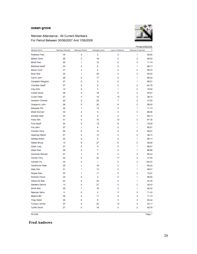#### ocean grove



#### Member Attendance - All Current Members For Period Between 30/06/2007 And 1/06/2008

|                         |                   |                 |                 |                  | Printed 9/06/2008 |        |
|-------------------------|-------------------|-----------------|-----------------|------------------|-------------------|--------|
| Member Name             | Meetings Attended | Meetings Missed | Apologies Given | Leave of Absence | Makeups Presented | %      |
| Andrews Fred            | 43                | 0               | 3               | 0                | 1                 | 95.65  |
| <b>Barker Coral</b>     | 26                | $\overline{2}$  | 18              | 0                | o                 | 56.52  |
| <b>Birrell Rod</b>      | 33                | 1               | 12              | 0                | ٥                 | 71.74  |
| <b>Brentnall Geoff</b>  | 40                | o               | 6               | 5                | 1                 | 89.13  |
| <b>Brown Colin</b>      | 37                | 3               | 6               | 0                | ٥                 | 80.43  |
| <b>Bush Rod</b>         | 23                | 1               | 22              | 0                | ٥                 | 50.00  |
| Calnin John             | 29                | ٥               | 17              | $\overline{2}$   | 1                 | 65.22  |
| Campbell Margaret       | 37                | 0               | 9               | 0                | 1                 | 82.61  |
| <b>Chandler Geoff</b>   | 37                | 0               | ġ               | 0                | 2                 | 84.78  |
| Clay Dick               | 10                | 0               | 3               | 1                | ٥                 | 76.92  |
| Cooke David             | 28                | 0               | 18              | 0                | ٥                 | 60.87  |
| Cullen Peter            | 27                | 4               | 15              | 13               | ٥                 | 58.70  |
| Dawborn Charles         | 22                | 2               | 22              | 7                | ٥                 | 47.83  |
| Dodgshun John           | 26                | 0               | 20              | 8                | ٥                 | 56.52  |
| <b>Edwards Phil</b>     | 32                | 1               | 13              | 0                | 1                 | 71.74  |
| <b>Elliott Norman</b>   | 40                | $\overline{2}$  | 4               | 0                | ٥                 | 86.96  |
| <b>Emselle Noel</b>     | 40                | ٥               | 6               | 0                | 1                 | 89.13  |
| Fleay Ken               | 31                | ٥               | 15              | 10               | ٥                 | 67.39  |
| Ford Geoff              | 34                | ٥               | 12              | 8                | 1                 | 76.09  |
| Fox John                | 37                | 1               | 8               | 0                | 1                 | 82.61  |
| Franken Hans            | 32                | 0               | 14              | 0                | ٥                 | 69.57  |
| Geerings Martin         | 27                | 5               | 14              | 0                | ٥                 | 58.70  |
| George Alison           | 40                | Ō               | 6               | 5                | 1                 | 89.13  |
| <b>Gilbert Bruce</b>    | 13                | 6               | 27              | 6                | ٥                 | 28.26  |
| Greer Judy              | 37                | 0               | 9               | ٥                | 1                 | 82.61  |
| Greer Rod               | 39                | 0               | 7               | ٥                | 1                 | 86.96  |
| <b>Grimmett Richard</b> | 37                | 1               | 8               | 0                | ٥                 | 80.43  |
| <b>Haines Tony</b>      | 22                | 0               | 24              | 17               | ٥                 | 47.83  |
| Harnath Vic             | 45                | 0               | 1               | 0                | 2                 | 100.00 |
| Hawthome Peter          | 29                | 1               | 16              | 0                | 1                 | 65.22  |
| Kelly Wal               | 31                | 1               | 14              | 0                | 1                 | 69.57  |
| Magee Alex              | 34                | 1               | 11              | ٥                | ٥                 | 73.91  |
| McArdle Trevor          | 43                | 0               | 3               | 0                | 1                 | 95.65  |
| Osbourne Bob            | 24                | 0               | 22              | 0                | 1                 | 54.35  |
| Sanders Dennis          | 14                | 5               | 27              | 0                | ٥                 | 30.43  |
| Smith Bob               | 29                | 1               | 16              | 0                | 1                 | 65.22  |
| <b>Spencer Gerry</b>    | 5                 | 0               | 2               | ٥                | ٥                 | 71.43  |
| <b>Steains Bill</b>     | 33                | 2               | 11              | 2                | ٥                 | 71.74  |
| <b>Trigg Helen</b>      | 30                | 8               | 8               | 0                | ٥                 | 65.22  |
| <b>Turnbull James</b>   | 24                | 0               | 22              | 12               | ٥                 | 52.17  |
| <b>Tyrrell David</b>    | 27                | 0               | 19              | 0                | 2                 | 63.04  |

**RI-CAS** 

**Fred Andrews**

Page 1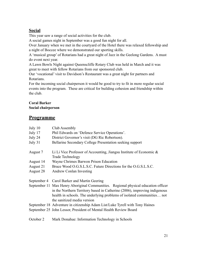## **Social**

This year saw a range of social activities for the club.

A social games night in September was a good fun night for all.

Over January when we met in the courtyard of the Hotel there was relaxed fellowship and a night of Boccee where we demonstrated our sporting skills.

A 'musical group' of Rotarians had a great night of Jazz in the Geelong Gardens. A must do event next year.

A Lawn Bowls Night against Queenscliffe Rotary Club was held in March and it was great to meet with fellow Rotarians from our sponsored club.

Our 'vocational' visit to Davidson's Restaurant was a great night for partners and Rotarians.

For the incoming social chairperson it would be good to try to fit in more regular social events into the program. These are critical for building cohesion and friendship within the club.

# **Coral Barker**

### **Social chairperson**

### **Programme**

| July 10   | Club Assembly                                                                                                                                                                                                                                                            |
|-----------|--------------------------------------------------------------------------------------------------------------------------------------------------------------------------------------------------------------------------------------------------------------------------|
| July 17   | Phil Edwards on 'Defence Service Operations'.                                                                                                                                                                                                                            |
| July 24   | District Governor's visit (DG Ric Robertson).                                                                                                                                                                                                                            |
| July 31   | Bellarine Secondary College Presentation seeking support                                                                                                                                                                                                                 |
| August 7  | Li Li Vice Professor of Accounting, Jiangsu Institute of Economic $\&$<br>Trade Technology                                                                                                                                                                               |
| August 14 | Wayne Chrimes Barwon Prison Education                                                                                                                                                                                                                                    |
| August 21 | Bruce Wood O.G.S.L.S.C. Future Directions for the O.G.S.L.S.C.                                                                                                                                                                                                           |
| August 28 | <b>Andrew Conlan Investing</b>                                                                                                                                                                                                                                           |
|           | September 4 Carol Barker and Martin Geering                                                                                                                                                                                                                              |
|           | September 11 Max Henry Aboriginal Communities. Regional physical education officer<br>in the Northern Territory based in Catherine (2006), improving indigenous<br>health in schools. The underlying problems of isolated communities not<br>the sanitized media version |
|           | September 18 Adventure in citizenship Adam List/Luke Tyrell with Tony Haines                                                                                                                                                                                             |
|           | September 25 John Lessor, President of Mental Health Review Board                                                                                                                                                                                                        |
|           |                                                                                                                                                                                                                                                                          |

October 2 Mark Donahue: Information Technology in Schools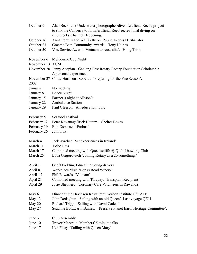| October 9       | Alan Beckhurst Underwater photographer/diver. Artificial Reefs, project<br>to sink the Canberra to form Artificial Reef/ recreational diving on<br>shipwrecks Channel Deepening. |
|-----------------|----------------------------------------------------------------------------------------------------------------------------------------------------------------------------------|
| October 16      | Anna Portelli and Wal Kelly on Public Access Defibrilator                                                                                                                        |
| October 23      | Graeme Bath Community Awards - Tony Haines                                                                                                                                       |
| October 30      |                                                                                                                                                                                  |
|                 | Voc. Service Award. 'Vietnam to Australia'. Hong Trinh                                                                                                                           |
| November 6      | Melbourne Cup Night                                                                                                                                                              |
| November 13 AGM |                                                                                                                                                                                  |
|                 | November 20 Jenny Acopian - Geelong East Rotary Rotary Foundation Scholarship.<br>A personal experience.                                                                         |
| 2008            | November 27 Cindy Harrison-Roberts. 'Preparing for the Fire Season'.                                                                                                             |
| January 1       | No meeting                                                                                                                                                                       |
| January 8       | <b>Bocce Night</b>                                                                                                                                                               |
| January 15      | Partner's night at Allison's                                                                                                                                                     |
| January 22      | <b>Ambulance Station</b>                                                                                                                                                         |
| January 29      | Paul Gleeson. 'An education topic'                                                                                                                                               |
| February 5      | Seafood Festival                                                                                                                                                                 |
| February 12     | Peter Kavanagh/Rick Hattam. Shelter Boxes                                                                                                                                        |
| February 19     | Bob Osborne. 'Probus'                                                                                                                                                            |
| February 26     | John Fox.                                                                                                                                                                        |
| March 4         | Jack Ayrebee 'Vet experiences in Ireland'                                                                                                                                        |
| March 11        | Polio Plus                                                                                                                                                                       |
| March 17        | Combined meeting with Queenscliffe $@Q$ C cliff bowling Club                                                                                                                     |
| March 25        | Luba Grigorovitch 'Joining Rotary as a 20 something.'                                                                                                                            |
| April 1         | Geoff Fickling Educating young drivers                                                                                                                                           |
| April 8         | Workplace Visit. 'Banks Road Winery'                                                                                                                                             |
| April 15        | Phil Edwards. 'Vietnam'                                                                                                                                                          |
| April 21        | Combined meeting with Torquay. 'Transplant Recipient'                                                                                                                            |
| April 29        | Josie Shepherd. 'Coronary Care Volunteers in Rawanda'                                                                                                                            |
| May 6           | Dinner at the Davidson Restaurant Gordon Institute Of TAFE                                                                                                                       |
| May 13          | John Dodsghun. 'Sailing with an old Queen'. Last voyage QE11                                                                                                                     |
| May 20          | Richard Trigg. 'Sailing with Naval Cadets'                                                                                                                                       |
| May 27          | Suzanne Borzwarth Baines. 'Preserve Planet Earth Heritage Committee'.                                                                                                            |
| June 3          | Club Assembly                                                                                                                                                                    |
| June 10         | Trevor McArdle. Members' 5 minute talks.                                                                                                                                         |
| June 17         | Ken Fleay. 'Sailing with Queen Mary'                                                                                                                                             |